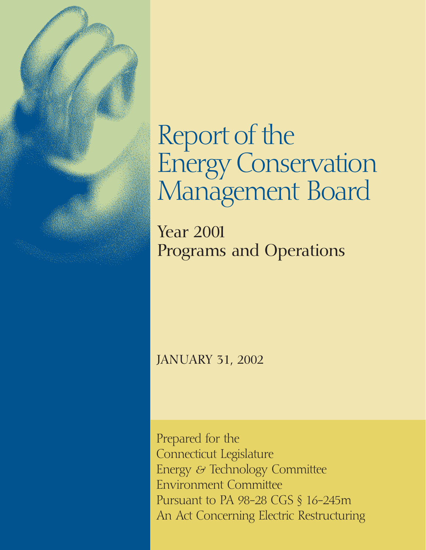

# Report of the Energy Conservation Management Board

Year 2001 Programs and Operations

JANUARY 31, 2002

Prepared for the Connecticut Legislature Energy & Technology Committee Environment Committee Pursuant to PA 98-28 CGS § 16-245m An Act Concerning Electric Restructuring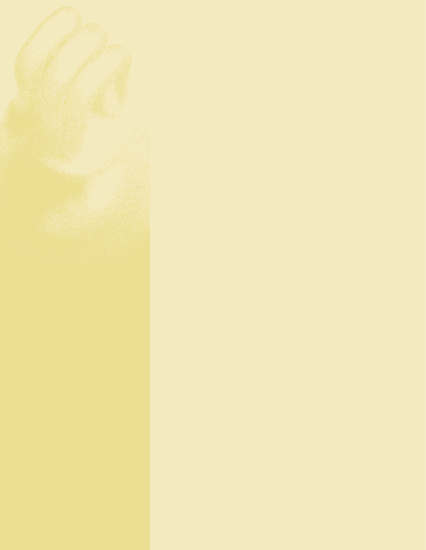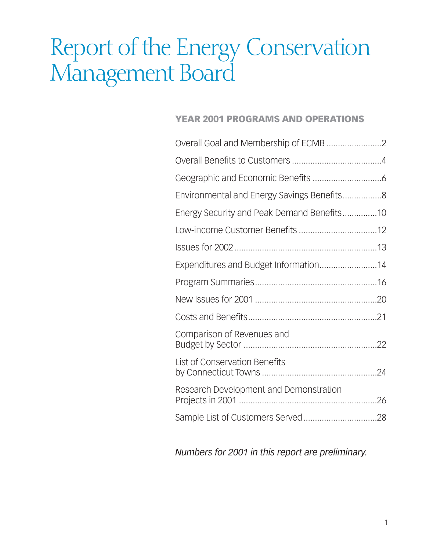# Report of the Energy Conservation Management Board

## **YEAR 2001 PROGRAMS AND OPERATIONS**

| Energy Security and Peak Demand Benefits10 |  |
|--------------------------------------------|--|
|                                            |  |
|                                            |  |
|                                            |  |
|                                            |  |
|                                            |  |
|                                            |  |
| Comparison of Revenues and                 |  |
| List of Conservation Benefits              |  |
| Research Development and Demonstration     |  |
|                                            |  |
|                                            |  |

*Numbers for 2001 in this report are preliminary.*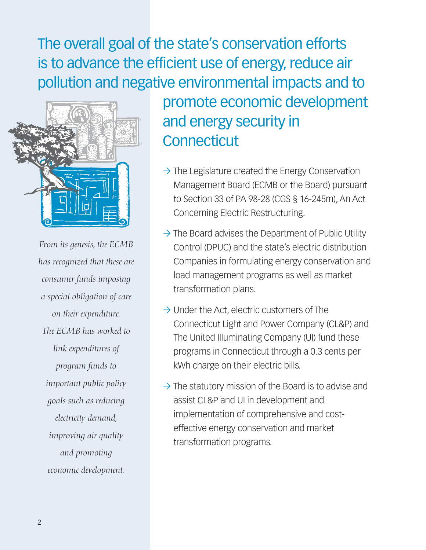# The overall goal of the state's conservation efforts is to advance the efficient use of energy, reduce air pollution and negative environmental impacts and to



*From its genesis, the ECMB has recognized that these are consumer funds imposing a special obligation of care on their expenditure. The ECMB has worked to link expenditures of program funds to important public policy goals such as reducing electricity demand, improving air quality and promoting economic development.*

promote economic development and energy security in **Connecticut** 

- $\rightarrow$  The Legislature created the Energy Conservation Management Board (ECMB or the Board) pursuant to Section 33 of PA 98-28 (CGS § 16-245m), An Act Concerning Electric Restructuring.
- $\rightarrow$  The Board advises the Department of Public Utility Control (DPUC) and the state's electric distribution Companies in formulating energy conservation and load management programs as well as market transformation plans.
- $\rightarrow$  Under the Act, electric customers of The Connecticut Light and Power Company (CL&P) and The United Illuminating Company (UI) fund these programs in Connecticut through a 0.3 cents per kWh charge on their electric bills.
- $\rightarrow$  The statutory mission of the Board is to advise and assist CL&P and UI in development and implementation of comprehensive and costeffective energy conservation and market transformation programs.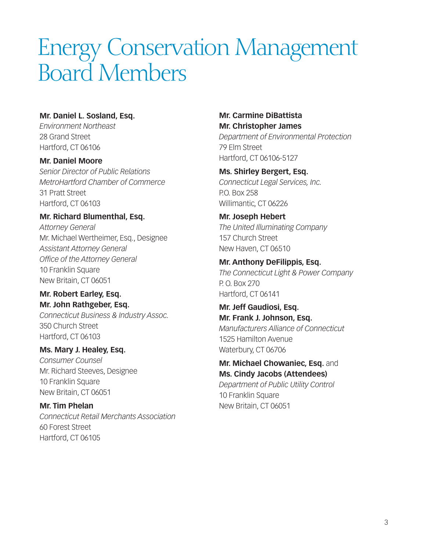# Energy Conservation Management Board Members

### **Mr. Daniel L. Sosland, Esq.**

*Environment Northeast* 28 Grand Street Hartford, CT 06106

### **Mr. Daniel Moore**

*Senior Director of Public Relations MetroHartford Chamber of Commerce* 31 Pratt Street Hartford, CT 06103

### **Mr. Richard Blumenthal, Esq.**

*Attorney General* Mr. Michael Wertheimer, Esq., Designee *Assistant Attorney General Office of the Attorney General* 10 Franklin Square New Britain, CT 06051

### **Mr. Robert Earley, Esq. Mr. John Rathgeber, Esq.**

*Connecticut Business & Industry Assoc.* 350 Church Street Hartford, CT 06103

### **Ms. Mary J. Healey, Esq.**

*Consumer Counsel* Mr. Richard Steeves, Designee 10 Franklin Square New Britain, CT 06051

## **Mr. Tim Phelan**

*Connecticut Retail Merchants Association* 60 Forest Street Hartford, CT 06105

### **Mr. Carmine DiBattista Mr. Christopher James**

*Department of Environmental Protection* 79 Elm Street Hartford, CT 06106-5127

### **Ms. Shirley Bergert, Esq.** *Connecticut Legal Services, Inc.* P.O. Box 258

Willimantic, CT 06226

### **Mr. Joseph Hebert**  *The United Illuminating Company* 157 Church Street New Haven, CT 06510

## **Mr. Anthony DeFilippis, Esq.**

*The Connecticut Light & Power Company* P. O. Box 270 Hartford, CT 06141

### **Mr. Jeff Gaudiosi, Esq. Mr. Frank J. Johnson, Esq.** *Manufacturers Alliance of Connecticut* 1525 Hamilton Avenue Waterbury, CT 06706

### **Mr. Michael Chowaniec, Esq.** and **Ms. Cindy Jacobs (Attendees)**

*Department of Public Utility Control* 10 Franklin Square New Britain, CT 06051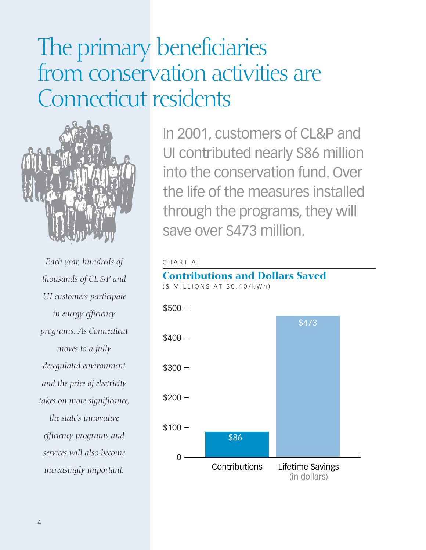# The primary beneficiaries from conservation activities are Connecticut residents



*Each year, hundreds of thousands of CL&P and UI customers participate in energy efficiency programs. As Connecticut moves to a fully deregulated environment and the price of electricity takes on more significance, the state's innovative efficiency programs and services will also become increasingly important.*

In 2001, customers of CL&P and UI contributed nearly \$86 million into the conservation fund. Over the life of the measures installed through the programs, they will save over \$473 million.





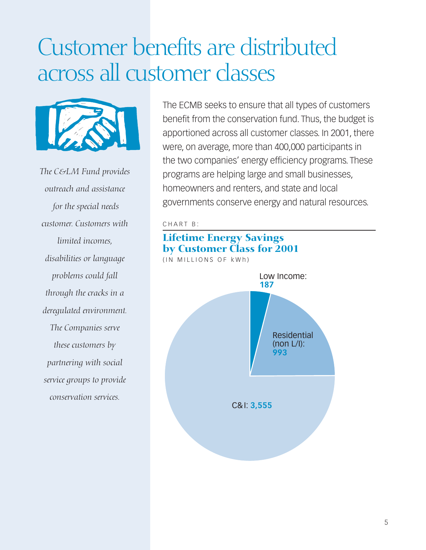# Customer benefits are distributed across all customer classes



*The C&LM Fund provides outreach and assistance for the special needs customer. Customers with limited incomes, disabilities or language problems could fall through the cracks in a deregulated environment. The Companies serve these customers by partnering with social service groups to provide conservation services.*

The ECMB seeks to ensure that all types of customers benefit from the conservation fund. Thus, the budget is apportioned across all customer classes. In 2001, there were, on average, more than 400,000 participants in the two companies' energy efficiency programs. These programs are helping large and small businesses, homeowners and renters, and state and local governments conserve energy and natural resources.

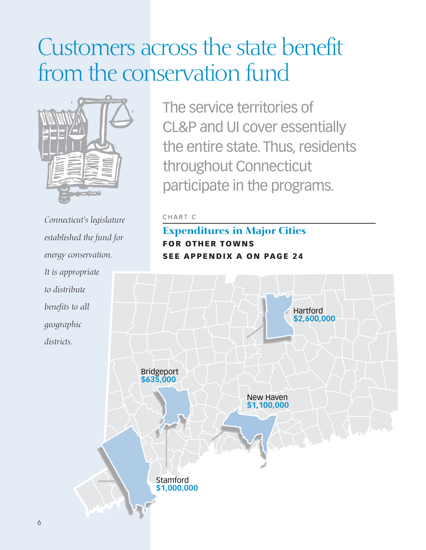# Customers across the state benefit from the conservation fund



*Connecticut's legislature established the fund for energy conservation. It is appropriate to distribute benefits to all geographic districts.*

The service territories of CL&P and UI cover essentially the entire state. Thus, residents throughout Connecticut participate in the programs.

### CHART C

## **Expenditures in Major Cities FOR OTHER TOWNS SEE APPENDIX A ON PAGE 24**

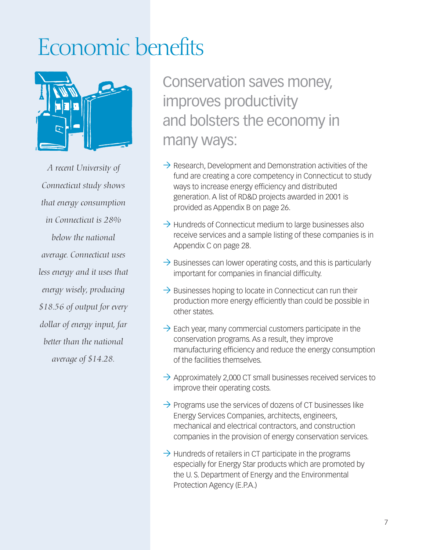# Economic benefits



*A recent University of Connecticut study shows that energy consumption in Connecticut is 28% below the national average. Connecticut uses less energy and it uses that energy wisely, producing \$18.56 of output for every dollar of energy input, far better than the national average of \$14.28.*

Conservation saves money, improves productivity and bolsters the economy in many ways:

- $\rightarrow$  Research, Development and Demonstration activities of the fund are creating a core competency in Connecticut to study ways to increase energy efficiency and distributed generation. A list of RD&D projects awarded in 2001 is provided as Appendix B on page 26.
- $\rightarrow$  Hundreds of Connecticut medium to large businesses also receive services and a sample listing of these companies is in Appendix C on page 28.
- $\rightarrow$  Businesses can lower operating costs, and this is particularly important for companies in financial difficulty.
- $\rightarrow$  Businesses hoping to locate in Connecticut can run their production more energy efficiently than could be possible in other states.
- $\rightarrow$  Each year, many commercial customers participate in the conservation programs. As a result, they improve manufacturing efficiency and reduce the energy consumption of the facilities themselves.
- $\rightarrow$  Approximately 2,000 CT small businesses received services to improve their operating costs.
- $\rightarrow$  Programs use the services of dozens of CT businesses like Energy Services Companies, architects, engineers, mechanical and electrical contractors, and construction companies in the provision of energy conservation services.
- $\rightarrow$  Hundreds of retailers in CT participate in the programs especially for Energy Star products which are promoted by the U. S. Department of Energy and the Environmental Protection Agency (E.P.A.)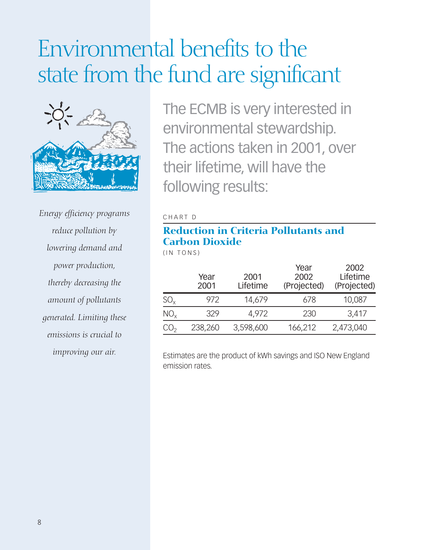# Environmental benefits to the state from the fund are significant



*Energy efficiency programs reduce pollution by lowering demand and power production, thereby decreasing the amount of pollutants generated. Limiting these emissions is crucial to improving our air.*

The ECMB is very interested in environmental stewardship. The actions taken in 2001, over their lifetime, will have the following results:

### CHART D

## **Reduction in Criteria Pollutants and Carbon Dioxide**

(IN TONS)

|                 | Year<br>2001 | 2001<br>Lifetime | Year<br>2002<br>(Projected) | 2002<br>Lifetime<br>(Projected) |
|-----------------|--------------|------------------|-----------------------------|---------------------------------|
| $SO_{x}$        | 972          | 14,679           | 678                         | 10,087                          |
| $NO_{x}$        | 329          | 4,972            | 230                         | 3,417                           |
| CO <sub>2</sub> | 238,260      | 3,598,600        | 166,212                     | 2,473,040                       |

Estimates are the product of kWh savings and ISO New England emission rates.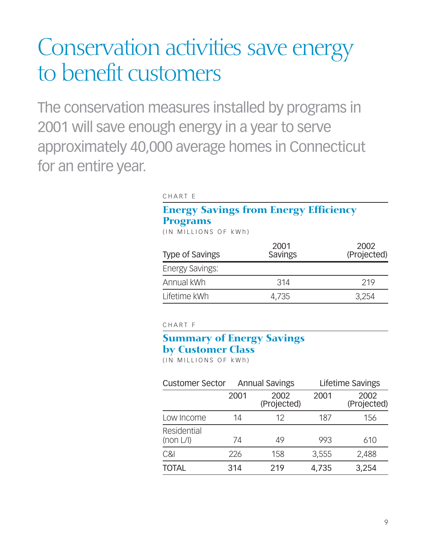# Conservation activities save energy to benefit customers

The conservation measures installed by programs in 2001 will save enough energy in a year to serve approximately 40,000 average homes in Connecticut for an entire year.

### CHART E

## **Energy Savings from Energy Efficiency Programs**

(IN MILLIONS OF kWh)

| <b>Type of Savings</b> | 2001<br><b>Savings</b> | 2002<br>(Projected) |
|------------------------|------------------------|---------------------|
| Energy Savings:        |                        |                     |
| Annual kWh             | 314                    | 219                 |
| Lifetime kWh           | 4.735                  | 3.254               |

### CHART F

## **Summary of Energy Savings by Customer Class**

(IN MILLIONS OF kWh)

| <b>Customer Sector</b>         | <b>Annual Savings</b> |                     |       | Lifetime Savings    |
|--------------------------------|-----------------------|---------------------|-------|---------------------|
|                                | 2001                  | 2002<br>(Projected) | 2001  | 2002<br>(Projected) |
| Low Income                     | 14                    | 12                  | 187   | 156                 |
| Residential<br>$($ non L/I $)$ | 74                    | 49                  | 993   | 610                 |
| C&I                            | 226                   | 158                 | 3,555 | 2,488               |
| <b>TOTAL</b>                   | 314                   | 219                 | 4,735 | 3,254               |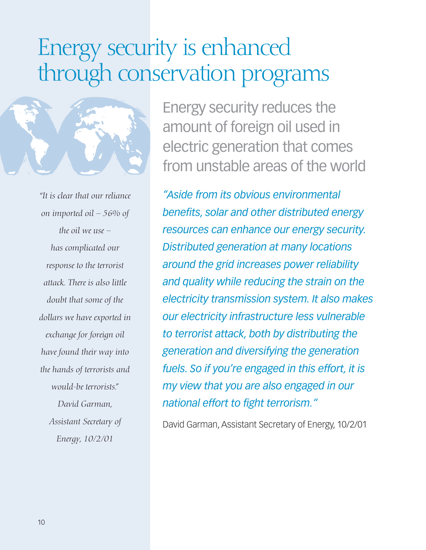# Energy security is enhanced through conservation programs



*"It is clear that our reliance on imported oil – 56% of the oil we use – has complicated our response to the terrorist attack. There is also little doubt that some of the dollars we have exported in exchange for foreign oil have found their way into the hands of terrorists and would-be terrorists." David Garman, Assistant Secretary of Energy, 10/2/01*

Energy security reduces the amount of foreign oil used in electric generation that comes from unstable areas of the world

*"Aside from its obvious environmental benefits, solar and other distributed energy resources can enhance our energy security. Distributed generation at many locations around the grid increases power reliability and quality while reducing the strain on the electricity transmission system. It also makes our electricity infrastructure less vulnerable to terrorist attack, both by distributing the generation and diversifying the generation fuels. So if you're engaged in this effort, it is my view that you are also engaged in our national effort to fight terrorism."*

David Garman, Assistant Secretary of Energy, 10/2/01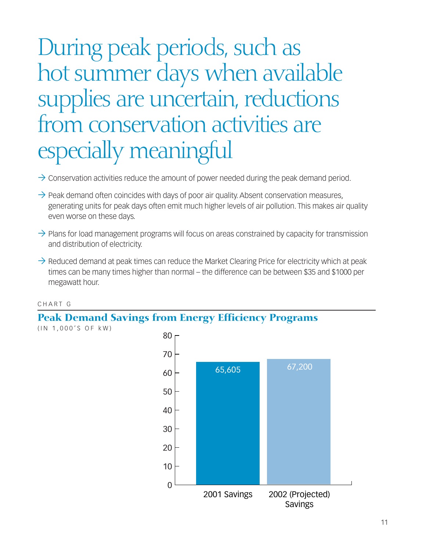# During peak periods, such as hot summer days when available supplies are uncertain, reductions from conservation activities are especially meaningful

 $\rightarrow$  Conservation activities reduce the amount of power needed during the peak demand period.

- $\rightarrow$  Peak demand often coincides with days of poor air quality. Absent conservation measures, generating units for peak days often emit much higher levels of air pollution. This makes air quality even worse on these days.
- $\rightarrow$  Plans for load management programs will focus on areas constrained by capacity for transmission and distribution of electricity.
- $\rightarrow$  Reduced demand at peak times can reduce the Market Clearing Price for electricity which at peak times can be many times higher than normal – the difference can be between \$35 and \$1000 per megawatt hour.

### CHART G

**Peak Demand Savings from Energy Efficiency Programs**



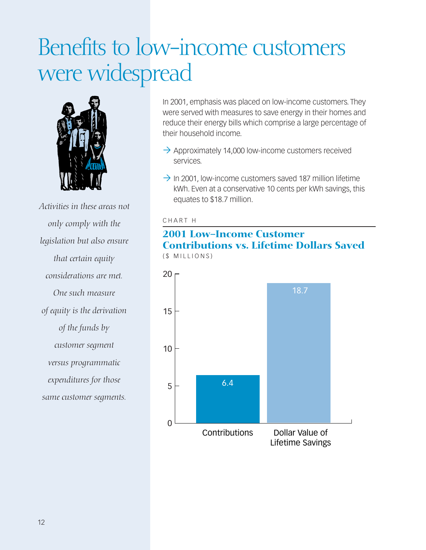# Benefits to low-income customers were widespread



*Activities in these areas not only comply with the legislation but also ensure that certain equity considerations are met. One such measure of equity is the derivation of the funds by customer segment versus programmatic expenditures for those same customer segments.* 

In 2001, emphasis was placed on low-income customers. They were served with measures to save energy in their homes and reduce their energy bills which comprise a large percentage of their household income.

- $\rightarrow$  Approximately 14,000 low-income customers received services.
- $\rightarrow$  In 2001, low-income customers saved 187 million lifetime kWh. Even at a conservative 10 cents per kWh savings, this equates to \$18.7 million.

#### CHART H

## **2001 Low-Income Customer Contributions vs. Lifetime Dollars Saved** (\$ MILLIONS)

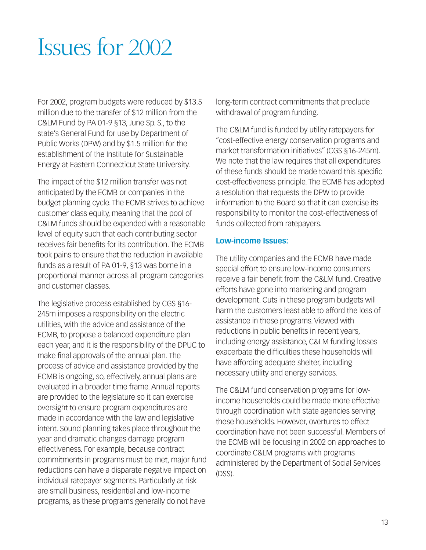# Issues for 2002

For 2002, program budgets were reduced by \$13.5 million due to the transfer of \$12 million from the C&LM Fund by PA 01-9 §13, June Sp. S., to the state's General Fund for use by Department of Public Works (DPW) and by \$1.5 million for the establishment of the Institute for Sustainable Energy at Eastern Connecticut State University.

The impact of the \$12 million transfer was not anticipated by the ECMB or companies in the budget planning cycle. The ECMB strives to achieve customer class equity, meaning that the pool of C&LM funds should be expended with a reasonable level of equity such that each contributing sector receives fair benefits for its contribution. The ECMB took pains to ensure that the reduction in available funds as a result of PA 01-9, §13 was borne in a proportional manner across all program categories and customer classes.

The legislative process established by CGS §16- 245m imposes a responsibility on the electric utilities, with the advice and assistance of the ECMB, to propose a balanced expenditure plan each year, and it is the responsibility of the DPUC to make final approvals of the annual plan. The process of advice and assistance provided by the ECMB is ongoing, so, effectively, annual plans are evaluated in a broader time frame. Annual reports are provided to the legislature so it can exercise oversight to ensure program expenditures are made in accordance with the law and legislative intent. Sound planning takes place throughout the year and dramatic changes damage program effectiveness. For example, because contract commitments in programs must be met, major fund reductions can have a disparate negative impact on individual ratepayer segments. Particularly at risk are small business, residential and low-income programs, as these programs generally do not have

long-term contract commitments that preclude withdrawal of program funding.

The C&LM fund is funded by utility ratepayers for "cost-effective energy conservation programs and market transformation initiatives" (CGS §16-245m). We note that the law requires that all expenditures of these funds should be made toward this specific cost-effectiveness principle. The ECMB has adopted a resolution that requests the DPW to provide information to the Board so that it can exercise its responsibility to monitor the cost-effectiveness of funds collected from ratepayers.

#### **Low-income Issues:**

The utility companies and the ECMB have made special effort to ensure low-income consumers receive a fair benefit from the C&LM fund. Creative efforts have gone into marketing and program development. Cuts in these program budgets will harm the customers least able to afford the loss of assistance in these programs. Viewed with reductions in public benefits in recent years, including energy assistance, C&LM funding losses exacerbate the difficulties these households will have affording adequate shelter, including necessary utility and energy services.

The C&LM fund conservation programs for lowincome households could be made more effective through coordination with state agencies serving these households. However, overtures to effect coordination have not been successful. Members of the ECMB will be focusing in 2002 on approaches to coordinate C&LM programs with programs administered by the Department of Social Services (DSS).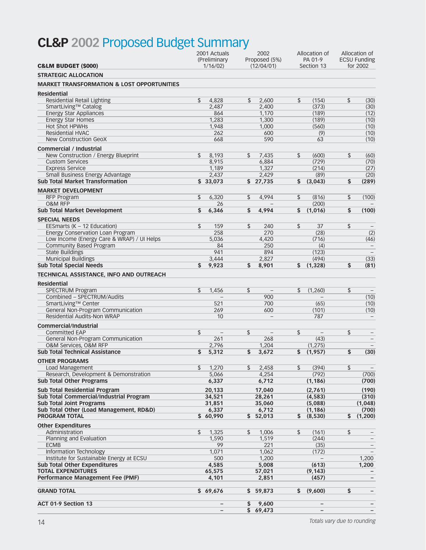# **CL&P 2002** Proposed Budget Summary

|                                                                 | 2001 Actuals | 2002                    | Allocation of  | Allocation of           |
|-----------------------------------------------------------------|--------------|-------------------------|----------------|-------------------------|
|                                                                 | (Preliminary | Proposed (5%)           | PA 01-9        | <b>ECSU Funding</b>     |
| <b>C&amp;LM BUDGET (\$000)</b>                                  | 1/16/02      | (12/04/01)              | Section 13     | for 2002                |
| <b>STRATEGIC ALLOCATION</b>                                     |              |                         |                |                         |
| <b>MARKET TRANSFORMATION &amp; LOST OPPORTUNITIES</b>           |              |                         |                |                         |
| <b>Residential</b>                                              |              |                         |                |                         |
| <b>Residential Retail Lighting</b>                              | \$<br>4,828  | \$<br>2,600             | \$<br>(154)    | \$<br>(30)              |
| SmartLiving™ Catalog<br><b>Energy Star Appliances</b>           | 2,487<br>864 | 2,400<br>1,170          | (373)<br>(189) | (30)<br>(12)            |
| <b>Energy Star Homes</b>                                        | 1,283        | 1,300                   | (189)          | (10)                    |
| Hot Shot HPWHs                                                  | 1,948        | 1,000                   | (560)          | (10)                    |
| Residential HVAC                                                | 262          | 600                     | (9)            | (10)                    |
| New Construction GeoX                                           | 668          | 590                     | 63             | (10)                    |
| <b>Commercial / Industrial</b>                                  |              |                         |                |                         |
| New Construction / Energy Blueprint                             | \$<br>8,193  | \$<br>7,435             | \$<br>(600)    | \$<br>(60)              |
| <b>Custom Services</b>                                          | 8,915        | 6,884                   | (729)          | (70)                    |
| <b>Express Service</b>                                          | 1,189        | 1,327                   | (214)          | (27)                    |
| Small Business Energy Advantage                                 | 2,437        | 2,429                   | (89)           | (20)                    |
| <b>Sub Total Market Transformation</b>                          | \$33,073     | \$27,735                | \$<br>(3,043)  | \$<br>(289)             |
| <b>MARKET DEVELOPMENT</b>                                       |              |                         |                |                         |
| <b>RFP Program</b>                                              | \$<br>6.320  | \$<br>4,994             | \$<br>(816)    | \$<br>(100)             |
| <b>O&amp;M RFP</b>                                              | 26           |                         | (200)          |                         |
| <b>Sub Total Market Development</b>                             | \$<br>6.346  | \$<br>4,994             | \$<br>(1,016)  | \$<br>(100)             |
| <b>SPECIAL NEEDS</b>                                            |              |                         |                |                         |
| EESmarts (K - 12 Education)                                     | \$<br>159    | \$<br>240               | \$<br>37       | \$                      |
| <b>Energy Conservation Loan Program</b>                         | 258          | 270                     | (28)           | (2)                     |
| Low Income (Energy Care & WRAP) / UI Helps                      | 5,036        | 4,420                   | (716)          | (46)                    |
| <b>Community Based Program</b>                                  | 84           | 250                     | (4)            |                         |
| <b>State Buildings</b>                                          | 941          | 894                     | (123)          |                         |
| <b>Municipal Buildings</b>                                      | 3,444        | 2,827                   | (494)          | (33)                    |
| <b>Sub Total Special Needs</b>                                  | \$<br>9,923  | \$<br>8,901             | \$<br>(1, 328) | \$<br>(81)              |
| TECHNICAL ASSISTANCE, INFO AND OUTREACH                         |              |                         |                |                         |
| <b>Residential</b>                                              |              |                         |                |                         |
| SPECTRUM Program                                                | \$<br>1,456  | \$                      | \$<br>(1,260)  | \$                      |
| Combined - SPECTRUM/Audits                                      |              | 900                     |                | (10)                    |
| SmartLiving™ Center                                             | 521          | 700                     | (65)           | (10)                    |
| General Non-Program Communication                               | 269          | 600                     | (101)          | (10)                    |
| <b>Residential Audits-Non WRAP</b>                              | 10           | $\equiv$                | 787            |                         |
| <b>Commercial/Industrial</b>                                    |              |                         |                |                         |
| <b>Committed EAP</b>                                            | \$           | \$                      | \$             | \$                      |
| General Non-Program Communication                               | 261          | 268                     | (43)           |                         |
| O&M Services, O&M RFP                                           | 2,796        | 1,204                   | (1, 275)       |                         |
| <b>Sub Total Technical Assistance</b>                           | \$<br>5,312  | \$<br>3,672             | \$<br>(1,957)  | \$<br>(30)              |
| <b>OTHER PROGRAMS</b>                                           |              |                         |                |                         |
| Load Management                                                 | \$<br>1,270  | \$<br>2,458             | \$<br>(394)    | \$                      |
| Research, Development & Demonstration                           | 5,066        | 4,254                   | (792)          | (700)                   |
| <b>Sub Total Other Programs</b>                                 | 6,337        | 6,712                   | (1, 186)       | (700)                   |
| Sub Total Residential Program                                   | 20,133       | 17,040                  | (2,761)        | (190)                   |
| Sub Total Commercial/Industrial Program                         | 34,521       | 28,261                  | (4, 583)       | (310)                   |
| <b>Sub Total Joint Programs</b>                                 | 31,851       | 35,060                  | (5,088)        | (1,048)                 |
| Sub Total Other (Load Management, RD&D)<br><b>PROGRAM TOTAL</b> | 6,337        | 6,712                   | (1, 186)       | \$<br>(700)             |
|                                                                 | \$60,990     | \$52,013                | \$<br>(8,530)  | (1,200)                 |
| <b>Other Expenditures</b>                                       |              |                         |                |                         |
| Administration                                                  | \$<br>1,325  | \$<br>1,006             | \$<br>(161)    | \$                      |
| Planning and Evaluation                                         | 1,590        | 1,519                   | (244)          |                         |
| <b>ECMB</b><br>Information Technology                           | 99<br>1,071  | 221<br>1,062            | (35)<br>(172)  |                         |
| Institute for Sustainable Energy at ECSU                        | 500          | 1,200                   |                | 1,200                   |
| <b>Sub Total Other Expenditures</b>                             | 4,585        | 5,008                   | (613)          | 1,200                   |
| <b>TOTAL EXPENDITURES</b>                                       | 65,575       | 57,021                  | (9, 143)       |                         |
| Performance Management Fee (PMF)                                | 4,101        | 2,851                   | (457)          |                         |
|                                                                 |              |                         |                |                         |
| <b>GRAND TOTAL</b>                                              | \$69,676     | \$59,873                | \$<br>(9,600)  | \$<br>$\qquad \qquad -$ |
|                                                                 |              |                         |                |                         |
| ACT 01-9 Section 13                                             |              | \$<br>9,600<br>\$69,473 |                |                         |
|                                                                 |              |                         |                |                         |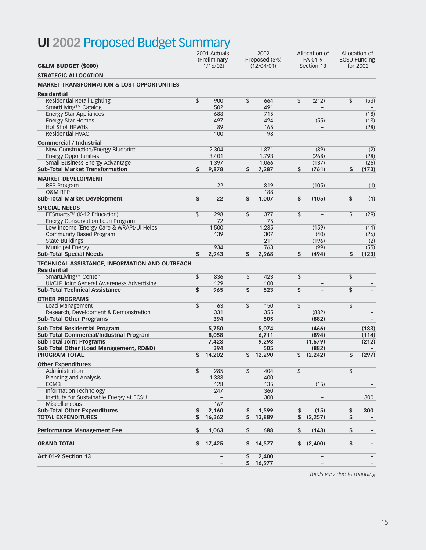# **UI 2002** Proposed Budget Summary

|                                                       | 2001 Actuals |                         | 2002 |                             |                       | Allocation of            | Allocation of                   |                          |
|-------------------------------------------------------|--------------|-------------------------|------|-----------------------------|-----------------------|--------------------------|---------------------------------|--------------------------|
| <b>C&amp;LM BUDGET (\$000)</b>                        |              | (Preliminary<br>1/16/02 |      | Proposed (5%)<br>(12/04/01) | PA 01-9<br>Section 13 |                          | <b>ECSU Funding</b><br>for 2002 |                          |
| <b>STRATEGIC ALLOCATION</b>                           |              |                         |      |                             |                       |                          |                                 |                          |
| <b>MARKET TRANSFORMATION &amp; LOST OPPORTUNITIES</b> |              |                         |      |                             |                       |                          |                                 |                          |
| <b>Residential</b>                                    |              |                         |      |                             |                       |                          |                                 |                          |
| Residential Retail Lighting                           | \$           | 900                     | \$   | 664                         | \$                    | (212)                    | \$                              | (53)                     |
| SmartLiving™ Catalog                                  |              | 502                     |      | 491                         |                       | $\overline{\phantom{m}}$ |                                 |                          |
| <b>Energy Star Appliances</b>                         |              | 688                     |      | 715                         |                       |                          |                                 | (18)                     |
| <b>Energy Star Homes</b>                              |              | 497                     |      | 424                         |                       | (55)                     |                                 | (18)                     |
| Hot Shot HPWHs                                        |              | 89                      |      | 165                         |                       | $\overline{\phantom{m}}$ |                                 | (28)                     |
| Residential HVAC                                      |              | 100                     |      | 98                          |                       |                          |                                 |                          |
| <b>Commercial / Industrial</b>                        |              |                         |      |                             |                       |                          |                                 |                          |
| New Construction/Energy Blueprint                     |              | 2,304                   |      | 1,871                       |                       | (89)                     |                                 | (2)                      |
| <b>Energy Opportunities</b>                           |              | 3,401                   |      | 1,793                       |                       | (268)                    |                                 | (28)                     |
| Small Business Energy Advantage                       |              | 1,397                   |      | 1,066                       |                       | (137)                    |                                 | (26)                     |
| <b>Sub-Total Market Transformation</b>                | \$           | 9,878                   | \$   | 7,287                       | \$                    | (761)                    | \$                              | (173)                    |
| <b>MARKET DEVELOPMENT</b>                             |              |                         |      |                             |                       |                          |                                 |                          |
| <b>RFP Program</b>                                    |              | 22                      |      | 819                         |                       | (105)                    |                                 | (1)                      |
| <b>O&amp;M RFP</b>                                    |              |                         |      | 188                         |                       |                          |                                 |                          |
| <b>Sub-Total Market Development</b>                   | \$           | 22                      | \$   | 1,007                       | \$                    | (105)                    | \$                              | (1)                      |
| <b>SPECIAL NEEDS</b>                                  |              |                         |      |                             |                       |                          |                                 |                          |
| EESmarts <sup>™</sup> (K-12 Education)                | \$           | 298                     | \$   | 377                         | \$                    |                          | \$                              | (29)                     |
| Energy Conservation Loan Program                      |              | 72                      |      | 75                          |                       |                          |                                 |                          |
| Low Income (Energy Care & WRAP)/UI Helps              |              | 1,500                   |      | 1,235                       |                       | (159)                    |                                 | (11)                     |
| Community Based Program                               |              | 139                     |      | 307                         |                       | (40)                     |                                 | (26)                     |
| <b>State Buildings</b>                                |              |                         |      | 211                         |                       | (196)                    |                                 | (2)                      |
| <b>Municipal Energy</b>                               |              | 934                     |      | 763                         |                       | (99)                     |                                 | (55)                     |
| <b>Sub-Total Special Needs</b>                        | \$           | 2,943                   | \$   | 2,968                       | \$                    | (494)                    | \$                              | (123)                    |
| TECHNICAL ASSISTANCE, INFORMATION AND OUTREACH        |              |                         |      |                             |                       |                          |                                 |                          |
| <b>Residential</b>                                    |              |                         |      |                             |                       |                          |                                 |                          |
| SmartLiving™ Center                                   | \$           | 836                     | \$   | 423                         | \$                    |                          | \$                              |                          |
| UI/CLP Joint General Awareness Advertising            |              | 129                     |      | 100                         |                       |                          |                                 |                          |
| <b>Sub-Total Technical Assistance</b>                 | \$           | 965                     | \$   | 523                         | \$                    |                          | \$                              |                          |
| <b>OTHER PROGRAMS</b>                                 |              |                         |      |                             |                       |                          |                                 |                          |
| Load Management                                       | \$           | 63                      | \$   | 150                         | \$                    |                          | \$                              |                          |
| Research, Development & Demonstration                 |              | 331                     |      | 355                         |                       | (882)                    |                                 |                          |
| <b>Sub-Total Other Programs</b>                       |              | 394                     |      | 505                         |                       | (882)                    |                                 |                          |
| <b>Sub Total Residential Program</b>                  |              | 5,750                   |      | 5,074                       |                       | (466)                    |                                 | (183)                    |
| Sub Total Commercial/Industrial Program               |              | 8,058                   |      | 6,711                       |                       | (894)                    |                                 | (114)                    |
| <b>Sub Total Joint Programs</b>                       |              | 7,428                   |      | 9,298                       |                       | (1,679)                  |                                 | (212)                    |
| Sub Total Other (Load Management, RD&D)               |              | 394                     |      | 505                         |                       | (882)                    |                                 |                          |
| <b>PROGRAM TOTAL</b>                                  | \$           | 14,202                  |      | \$12,290                    | \$                    | (2, 242)                 | \$                              | (297)                    |
| <b>Other Expenditures</b>                             |              |                         |      |                             |                       |                          |                                 |                          |
| Administration                                        | \$           | 285                     | \$   | 404                         | \$                    |                          | \$                              |                          |
| Planning and Analysis                                 |              | 1,333                   |      | 400                         |                       |                          |                                 |                          |
| <b>ECMB</b>                                           |              | 128                     |      | 135                         |                       | (15)                     |                                 |                          |
| Information Technology                                |              | 247                     |      | 360                         |                       | $\overline{\phantom{m}}$ |                                 | $\overline{\phantom{m}}$ |
| Institute for Sustainable Energy at ECSU              |              |                         |      | 300                         |                       |                          |                                 | 300                      |
| Miscellaneous                                         |              | 167                     |      |                             |                       |                          |                                 |                          |
| <b>Sub-Total Other Expenditures</b>                   | \$           | 2,160                   | \$   | 1,599                       | \$                    | (15)                     | \$                              | 300                      |
| <b>TOTAL EXPENDITURES</b>                             | \$           | 16,362                  | \$   | 13,889                      | \$                    | (2, 257)                 | \$                              |                          |
| <b>Performance Management Fee</b>                     | \$           | 1,063                   | \$   | 688                         | \$                    | (143)                    | \$                              | $\overline{\phantom{m}}$ |
| <b>GRAND TOTAL</b>                                    | \$           | 17,425                  | \$   | 14,577                      | \$                    | (2,400)                  | \$                              | $\overline{\phantom{m}}$ |
| Act 01-9 Section 13                                   |              |                         |      | 2,400                       |                       |                          |                                 |                          |
|                                                       |              |                         | \$   | \$16,977                    |                       | $\qquad \qquad -$        |                                 |                          |
|                                                       |              |                         |      |                             |                       |                          |                                 |                          |

*Totals vary due to rounding*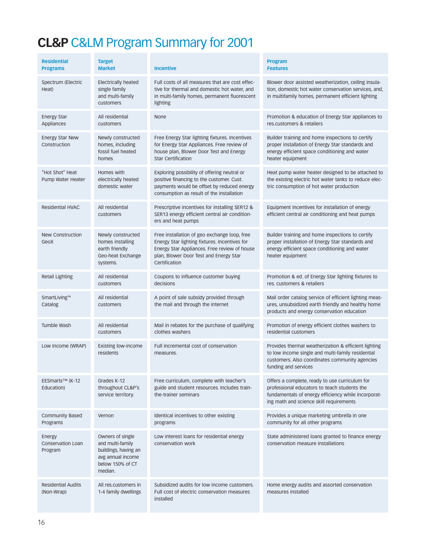# **CL&P** C&LM Program Summary for 2001

| <b>Residential</b><br><b>Programs</b>         | <b>Target</b><br><b>Market</b>                                                                                   | <b>Incentive</b>                                                                                                                                                                                         | <b>Program</b><br><b>Features</b>                                                                                                                                                                |
|-----------------------------------------------|------------------------------------------------------------------------------------------------------------------|----------------------------------------------------------------------------------------------------------------------------------------------------------------------------------------------------------|--------------------------------------------------------------------------------------------------------------------------------------------------------------------------------------------------|
| Spectrum (Electric<br>Heat)                   | Electrically heated<br>single family<br>and multi-family<br>customers                                            | Full costs of all measures that are cost effec-<br>tive for thermal and domestic hot water, and<br>in multi-family homes, permanent fluorescent<br>lighting                                              | Blower door assisted weatherization, ceiling insula-<br>tion, domestic hot water conservation services, and,<br>in multifamily homes, permanent efficient lighting                               |
| <b>Energy Star</b><br>Appliances              | All residential<br>customers                                                                                     | None                                                                                                                                                                                                     | Promotion & education of Energy Star appliances to<br>res.customers & retailers                                                                                                                  |
| <b>Energy Star New</b><br>Construction        | Newly constructed<br>homes, including<br>fossil fuel heated<br>homes                                             | Free Energy Star lighting fixtures. Incentives<br>for Energy Star Appliances. Free review of<br>house plan, Blower Door Test and Energy<br><b>Star Certification</b>                                     | Builder training and home inspections to certify<br>proper installation of Energy Star standards and<br>energy efficient space conditioning and water<br>heater equipment                        |
| "Hot Shot" Heat<br>Pump Water Heater          | Homes with<br>electrically heated<br>domestic water                                                              | Exploring possibility of offering neutral or<br>positive financing to the customer. Cust.<br>payments would be offset by reduced energy<br>consumption as result of the installation                     | Heat pump water heater designed to be attached to<br>the existing electric hot water tanks to reduce elec-<br>tric consumption of hot water production                                           |
| Residential HVAC                              | All residential<br>customers                                                                                     | Prescriptive incentives for installing SER12 &<br>SER13 energy efficient central air condition-<br>ers and heat pumps                                                                                    | Equipment incentives for installation of energy<br>efficient central air conditioning and heat pumps                                                                                             |
| New Construction<br>GeoX                      | Newly constructed<br>homes installing<br>earth friendly<br>Geo-heat Exchange<br>systems.                         | Free installation of geo exchange loop, free<br>Energy Star lighting fixtures. Incentives for<br>Energy Star Appliances. Free review of house<br>plan, Blower Door Test and Energy Star<br>Certification | Builder training and home inspections to certify<br>proper installation of Energy Star standards and<br>energy efficient space conditioning and water<br>heater equipment                        |
| <b>Retail Lighting</b>                        | All residential<br>customers                                                                                     | Coupons to influence customer buying<br>decisions                                                                                                                                                        | Promotion & ed. of Energy Star lighting fixtures to<br>res. customers & retailers                                                                                                                |
| SmartLiving™<br>Catalog                       | All residential<br>customers                                                                                     | A point of sale subsidy provided through<br>the mail and through the internet                                                                                                                            | Mail order catalog service of efficient lighting meas-<br>ures, unsubsidized earth friendly and healthy home<br>products and energy conservation education                                       |
| Tumble Wash                                   | All residential<br>customers                                                                                     | Mail in rebates for the purchase of qualifying<br>clothes washers                                                                                                                                        | Promotion of energy efficient clothes washers to<br>residential customers                                                                                                                        |
| Low Income (WRAP)                             | Existing low-income<br>residents                                                                                 | Full incremental cost of conservation<br>measures.                                                                                                                                                       | Provides thermal weatherization & efficient lighting<br>to low income single and multi-family residential<br>customers. Also coordinates community agencies<br>funding and services              |
| EESmarts <sup>™</sup> (K-12<br>Education)     | Grades K-12<br>throughout CL&P's<br>service territory.                                                           | Free curriculum, complete with teacher's<br>guide and student resources. Includes train-<br>the-trainer seminars                                                                                         | Offers a complete, ready to use curriculum for<br>professional educators to teach students the<br>fundamentals of energy efficiency while incorporat-<br>ing math and science skill requirements |
| <b>Community Based</b><br>Programs            | Vernon                                                                                                           | Identical incentives to other existing<br>programs                                                                                                                                                       | Provides a unique marketing umbrella in one<br>community for all other programs                                                                                                                  |
| Energy<br><b>Conservation Loan</b><br>Program | Owners of single<br>and multi-family<br>buildings, having an<br>avg annual income<br>below 150% of CT<br>median. | Low interest loans for residential energy<br>conservation work                                                                                                                                           | State administered loans granted to finance energy<br>conservation measure installations                                                                                                         |
| <b>Residential Audits</b><br>(Non-Wrap)       | All res.customers in<br>1-4 family dwellings                                                                     | Subsidized audits for low income customers.<br>Full cost of electric conservation measures<br>installed                                                                                                  | Home energy audits and assorted conservation<br>measures installed                                                                                                                               |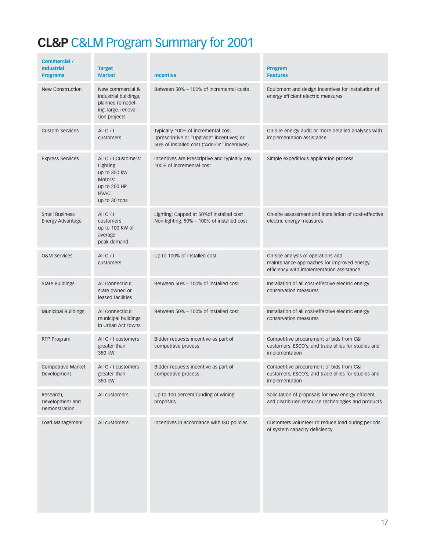# **CL&P** C&LM Program Summary for 2001

| <b>Commercial /</b><br><b>Industrial</b><br><b>Programs</b> | <b>Target</b><br><b>Market</b>                                                                         | <b>Incentive</b>                                                                                                               | <b>Program</b><br><b>Features</b>                                                                                             |
|-------------------------------------------------------------|--------------------------------------------------------------------------------------------------------|--------------------------------------------------------------------------------------------------------------------------------|-------------------------------------------------------------------------------------------------------------------------------|
| New Construction                                            | New commercial &<br>industrial buildings,<br>planned remodel-<br>ing, large. renova-<br>tion projects  | Between 50% - 100% of incremental costs                                                                                        | Equipment and design incentives for installation of<br>energy efficient electric measures                                     |
| <b>Custom Services</b>                                      | All $C/1$<br>customers                                                                                 | Typically 100% of incremental cost<br>(prescriptive or "Upgrade" incentives) or<br>50% of installed cost ("Add-On" incentives) | On-site energy audit or more detailed analyses with<br>implementation assistance                                              |
| <b>Express Services</b>                                     | All C / I Customers:<br>Lighting:<br>up to 350 kW<br>Motors:<br>up to 200 HP<br>HVAC:<br>up to 30 tons | Incentives are Prescriptive and typically pay<br>100% of incremental cost                                                      | Simple expeditious application process                                                                                        |
| <b>Small Business</b><br>Energy Advantage                   | All $C/1$<br>customers<br>up to 100 KW of<br>average<br>peak demand                                    | Lighting: Capped at 50% of installed cost<br>Non-lighting: 50% - 100% of installed cost                                        | On-site assessment and installation of cost-effective<br>electric energy measures                                             |
| <b>O&amp;M Services</b>                                     | All $C/1$<br>customers                                                                                 | Up to 100% of installed cost                                                                                                   | On-site analysis of operations and<br>maintenance approaches for improved energy<br>efficiency with implementation assistance |
| <b>State Buildings</b>                                      | All Connecticut<br>state owned or<br>leased facilities                                                 | Between 50% - 100% of installed cost                                                                                           | Installation of all cost-effective electric energy<br>conservation measures                                                   |
| <b>Municipal Buildings</b>                                  | All Connecticut<br>municipal buildings<br>in Urban Act towns                                           | Between 50% - 100% of installed cost                                                                                           | Installation of all cost-effective electric energy<br>conservation measures                                                   |
| <b>RFP Program</b>                                          | All C / I customers<br>greater than<br>350 kW                                                          | Bidder requests incentive as part of<br>competitive process                                                                    | Competitive procurement of bids from C&I<br>customers, ESCO's, and trade allies for studies and<br>implementation             |
| Competitive Market<br>Development                           | All C / I customers<br>greater than<br>350 kW                                                          | Bidder requests incentive as part of<br>competitive process                                                                    | Competitive procurement of bids from C&I<br>customers, ESCO's, and trade allies for studies and<br>implementation             |
| Research,<br>Development and<br>Demonstration               | All customers                                                                                          | Up to 100 percent funding of wining<br>proposals                                                                               | Solicitation of proposals for new energy efficient<br>and distributed resource technologies and products                      |
| Load Management                                             | All customers                                                                                          | Incentives in accordance with ISO policies                                                                                     | Customers volunteer to reduce load during periods<br>of system capacity deficiency                                            |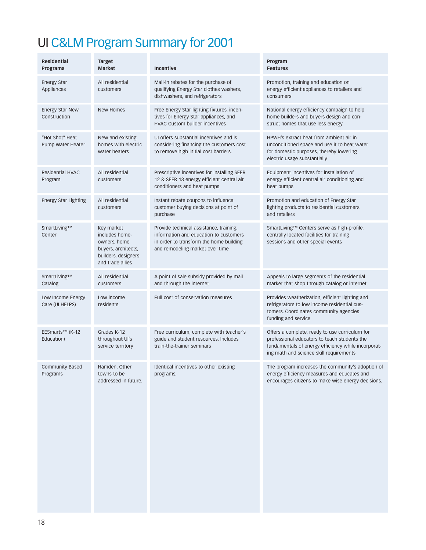# UI C&LM Program Summary for 2001

| <b>Residential</b><br><b>Programs</b>     | <b>Target</b><br><b>Market</b>                                                                                 | <b>Incentive</b>                                                                                                                                                | Program<br><b>Features</b>                                                                                                                                                                       |
|-------------------------------------------|----------------------------------------------------------------------------------------------------------------|-----------------------------------------------------------------------------------------------------------------------------------------------------------------|--------------------------------------------------------------------------------------------------------------------------------------------------------------------------------------------------|
| <b>Energy Star</b><br>Appliances          | All residential<br>customers                                                                                   | Mail-in rebates for the purchase of<br>qualifying Energy Star clothes washers,<br>dishwashers, and refrigerators                                                | Promotion, training and education on<br>energy efficient appliances to retailers and<br>consumers                                                                                                |
| <b>Energy Star New</b><br>Construction    | <b>New Homes</b>                                                                                               | Free Energy Star lighting fixtures, incen-<br>tives for Energy Star appliances, and<br><b>HVAC Custom builder incentives</b>                                    | National energy efficiency campaign to help<br>home builders and buyers design and con-<br>struct homes that use less energy                                                                     |
| "Hot Shot" Heat<br>Pump Water Heater      | New and existing<br>homes with electric<br>water heaters                                                       | UI offers substantial incentives and is<br>considering financing the customers cost<br>to remove high initial cost barriers.                                    | HPWH's extract heat from ambient air in<br>unconditioned space and use it to heat water<br>for domestic purposes, thereby lowering<br>electric usage substantially                               |
| <b>Residential HVAC</b><br>Program        | All residential<br>customers                                                                                   | Prescriptive incentives for installing SEER<br>12 & SEER 13 energy efficient central air<br>conditioners and heat pumps                                         | Equipment incentives for installation of<br>energy efficient central air conditioning and<br>heat pumps                                                                                          |
| <b>Energy Star Lighting</b>               | All residential<br>customers                                                                                   | Instant rebate coupons to influence<br>customer buying decisions at point of<br>purchase                                                                        | Promotion and education of Energy Star<br>lighting products to residential customers<br>and retailers                                                                                            |
| SmartLiving™<br>Center                    | Key market<br>includes home-<br>owners, home<br>buyers, architects,<br>builders, designers<br>and trade allies | Provide technical assistance, training,<br>information and education to customers<br>in order to transform the home building<br>and remodeling market over time | SmartLiving™ Centers serve as high-profile,<br>centrally located facilities for training<br>sessions and other special events                                                                    |
| SmartLiving™<br>Catalog                   | All residential<br>customers                                                                                   | A point of sale subsidy provided by mail<br>and through the internet                                                                                            | Appeals to large segments of the residential<br>market that shop through catalog or internet                                                                                                     |
| Low Income Energy<br>Care (UI HELPS)      | Low income<br>residents                                                                                        | Full cost of conservation measures                                                                                                                              | Provides weatherization, efficient lighting and<br>refrigerators to low income residential cus-<br>tomers. Coordinates community agencies<br>funding and service                                 |
| EESmarts <sup>™</sup> (K-12<br>Education) | Grades K-12<br>throughout UI's<br>service territory                                                            | Free curriculum, complete with teacher's<br>guide and student resources. Includes<br>train-the-trainer seminars                                                 | Offers a complete, ready to use curriculum for<br>professional educators to teach students the<br>fundamentals of energy efficiency while incorporat-<br>ing math and science skill requirements |
| Community Based<br>Programs               | Hamden. Other<br>towns to be<br>addressed in future.                                                           | Identical incentives to other existing<br>programs.                                                                                                             | The program increases the community's adoption of<br>energy efficiency measures and educates and<br>encourages citizens to make wise energy decisions.                                           |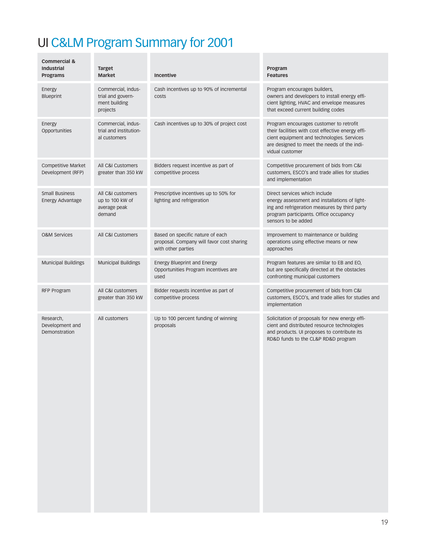# UI C&LM Program Summary for 2001

| <b>Commercial &amp;</b><br><b>Industrial</b><br><b>Programs</b> | <b>Target</b><br><b>Market</b>                                       | <b>Incentive</b>                                                                                    | Program<br><b>Features</b>                                                                                                                                                                                   |
|-----------------------------------------------------------------|----------------------------------------------------------------------|-----------------------------------------------------------------------------------------------------|--------------------------------------------------------------------------------------------------------------------------------------------------------------------------------------------------------------|
| Energy<br>Blueprint                                             | Commercial, indus-<br>trial and govern-<br>ment building<br>projects | Cash incentives up to 90% of incremental<br>costs                                                   | Program encourages builders,<br>owners and developers to install energy effi-<br>cient lighting, HVAC and envelope measures<br>that exceed current building codes                                            |
| Energy<br>Opportunities                                         | Commercial, indus-<br>trial and institution-<br>al customers         | Cash incentives up to 30% of project cost                                                           | Program encourages customer to retrofit<br>their facilities with cost effective energy effi-<br>cient equipment and technologies. Services<br>are designed to meet the needs of the indi-<br>vidual customer |
| <b>Competitive Market</b><br>Development (RFP)                  | All C&I Customers<br>greater than 350 kW                             | Bidders request incentive as part of<br>competitive process                                         | Competitive procurement of bids from C&I<br>customers, ESCO's and trade allies for studies<br>and implementation                                                                                             |
| <b>Small Business</b><br>Energy Advantage                       | All C&I customers<br>up to 100 kW of<br>average peak<br>demand       | Prescriptive incentives up to 50% for<br>lighting and refrigeration                                 | Direct services which include<br>energy assessment and installations of light-<br>ing and refrigeration measures by third party<br>program participants. Office occupancy<br>sensors to be added             |
| <b>O&amp;M Services</b>                                         | All C&I Customers                                                    | Based on specific nature of each<br>proposal. Company will favor cost sharing<br>with other parties | Improvement to maintenance or building<br>operations using effective means or new<br>approaches                                                                                                              |
| <b>Municipal Buildings</b>                                      | <b>Municipal Buildings</b>                                           | Energy Blueprint and Energy<br>Opportunities Program incentives are<br>used                         | Program features are similar to EB and EO,<br>but are specifically directed at the obstacles<br>confronting municipal customers                                                                              |
| RFP Program                                                     | All C&I customers<br>greater than 350 kW                             | Bidder requests incentive as part of<br>competitive process                                         | Competitive procurement of bids from C&I<br>customers, ESCO's, and trade allies for studies and<br>implementation                                                                                            |
| Research,<br>Development and<br>Demonstration                   | All customers                                                        | Up to 100 percent funding of winning<br>proposals                                                   | Solicitation of proposals for new energy effi-<br>cient and distributed resource technologies<br>and products. UI proposes to contribute its<br>RD&D funds to the CL&P RD&D program                          |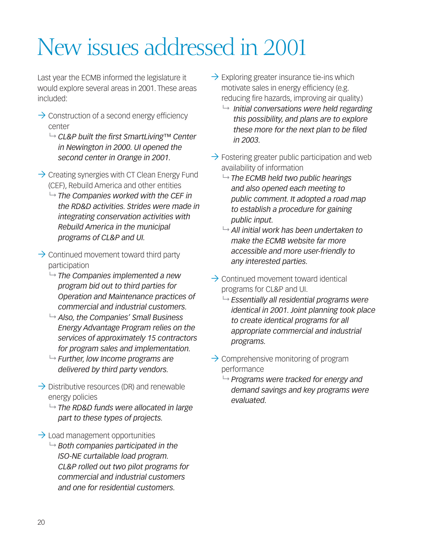# New issues addressed in 2001

Last year the ECMB informed the legislature it would explore several areas in 2001. These areas included:

- $\rightarrow$  Construction of a second energy efficiency center
	- *CL&P built the first SmartLiving™ Center in Newington in 2000. UI opened the second center in Orange in 2001.*
- $\rightarrow$  Creating synergies with CT Clean Energy Fund (CEF), Rebuild America and other entities
	- *The Companies worked with the CEF in the RD&D activities. Strides were made in integrating conservation activities with Rebuild America in the municipal programs of CL&P and UI.*
- $\rightarrow$  Continued movement toward third party participation
	- *The Companies implemented a new program bid out to third parties for Operation and Maintenance practices of commercial and industrial customers.*
	- *Also, the Companies' Small Business Energy Advantage Program relies on the services of approximately 15 contractors for program sales and implementation.*
	- *Further, low Income programs are delivered by third party vendors.*
- $\rightarrow$  Distributive resources (DR) and renewable energy policies
	- *The RD&D funds were allocated in large part to these types of projects.*
- $\rightarrow$  Load management opportunities
	- *Both companies participated in the ISO-NE curtailable load program. CL&P rolled out two pilot programs for commercial and industrial customers and one for residential customers.*
- $\rightarrow$  Exploring greater insurance tie-ins which motivate sales in energy efficiency (e.g. reducing fire hazards, improving air quality.)
	- *Initial conversations were held regarding this possibility, and plans are to explore these more for the next plan to be filed in 2003.*
- $\rightarrow$  Fostering greater public participation and web availability of information
	- *The ECMB held two public hearings and also opened each meeting to public comment. It adopted a road map to establish a procedure for gaining public input.*
	- *All initial work has been undertaken to make the ECMB website far more accessible and more user-friendly to any interested parties.*
- $\rightarrow$  Continued movement toward identical programs for CL&P and UI.
	- $\mapsto$  **Essentially all residential programs were** *identical in 2001. Joint planning took place to create identical programs for all appropriate commercial and industrial programs.*
- $\rightarrow$  Comprehensive monitoring of program performance
	- *Programs were tracked for energy and demand savings and key programs were evaluated.*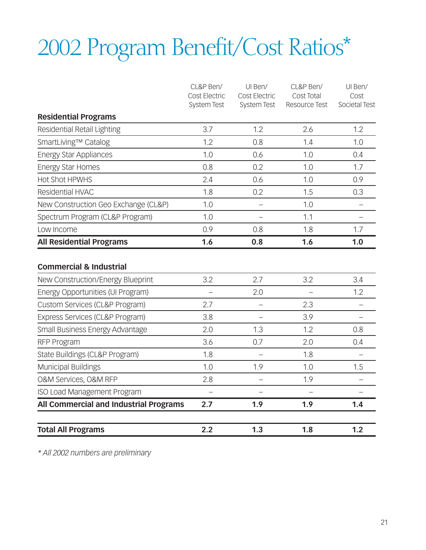# 2002 Program Benefit/Cost Ratios\*

| CL&P Ben/                | UI Ben/                                                                                            | CL&P Ben/                                         | UI Ben/                                                 |
|--------------------------|----------------------------------------------------------------------------------------------------|---------------------------------------------------|---------------------------------------------------------|
|                          |                                                                                                    |                                                   | Cost<br>Societal Test                                   |
|                          |                                                                                                    |                                                   |                                                         |
|                          |                                                                                                    |                                                   |                                                         |
|                          |                                                                                                    |                                                   | 1.2                                                     |
|                          |                                                                                                    |                                                   | 1.0                                                     |
|                          |                                                                                                    |                                                   | 0.4                                                     |
|                          | 0.2                                                                                                | 1.0                                               | 1.7                                                     |
| 2.4                      | 0.6                                                                                                | 1.0                                               | 0.9                                                     |
| 1.8                      | 0.2                                                                                                | 1.5                                               | 0.3                                                     |
| 1.0                      |                                                                                                    | 1.0                                               |                                                         |
| 1.0                      | $\overline{\phantom{0}}$                                                                           | 1.1                                               |                                                         |
| 0.9                      | 0.8                                                                                                | 1.8                                               | 1.7                                                     |
| 1.6                      | 0.8                                                                                                | 1.6                                               | 1.0                                                     |
|                          |                                                                                                    |                                                   |                                                         |
|                          |                                                                                                    |                                                   |                                                         |
| 3.2                      | 2.7                                                                                                | 3.2                                               | 3.4                                                     |
|                          | 2.0                                                                                                |                                                   | 1.2                                                     |
| 2.7                      | $\overline{\phantom{0}}$                                                                           | 2.3                                               |                                                         |
| 3.8                      |                                                                                                    | 3.9                                               |                                                         |
| 2.0                      | 1.3                                                                                                | 1.2                                               | 0.8                                                     |
| 3.6                      | 0.7                                                                                                | 2.0                                               | 0.4                                                     |
| 1.8                      |                                                                                                    | 1.8                                               |                                                         |
| 1.0                      | 1.9                                                                                                | 1.0                                               | 1.5                                                     |
| 2.8                      | $\overline{\phantom{0}}$                                                                           | 1.9                                               | $\overline{\phantom{0}}$                                |
| $\overline{\phantom{0}}$ | $\overline{\phantom{0}}$                                                                           |                                                   |                                                         |
| 2.7                      | 1.9                                                                                                | 1.9                                               | 1.4                                                     |
| 2.2                      | 1.3                                                                                                | 1.8                                               | 1.2                                                     |
|                          | Cost Electric<br>System Test<br>3.7<br>1.2<br>1.0<br>0.8<br>All Commercial and Industrial Programs | Cost Electric<br>System Test<br>1.2<br>0.8<br>0.6 | Cost Total<br><b>Resource Test</b><br>2.6<br>1.4<br>1.0 |

*\* All 2002 numbers are preliminary*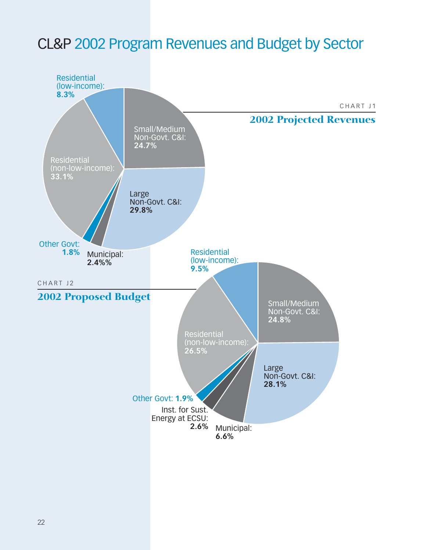# CL&P 2002 Program Revenues and Budget by Sector

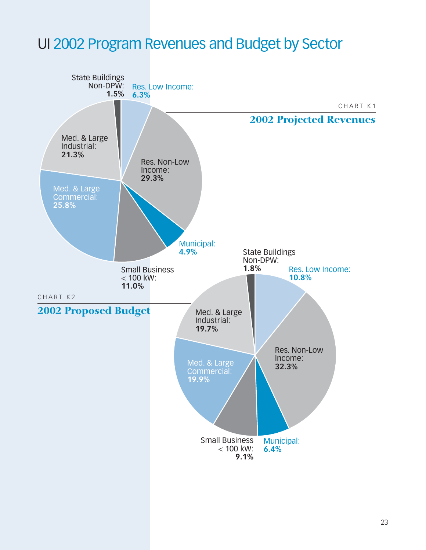# UI 2002 Program Revenues and Budget by Sector

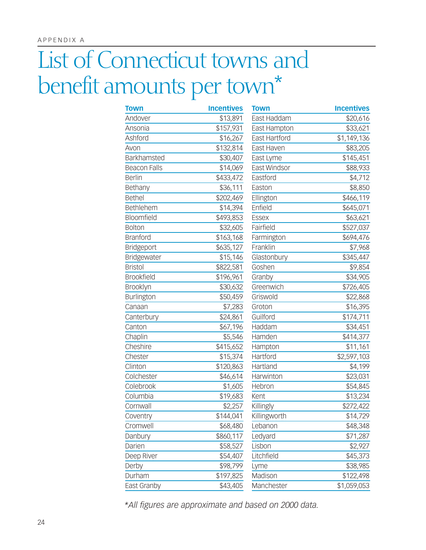# List of Connecticut towns and benefit amounts per town<sup>\*</sup>

| <b>Town</b>         | <b>Incentives</b> | <b>Town</b>   | <b>Incentives</b> |
|---------------------|-------------------|---------------|-------------------|
| Andover             | \$13,891          | East Haddam   | \$20,616          |
| Ansonia             | \$157,931         | East Hampton  | \$33,621          |
| Ashford             | \$16,267          | East Hartford | \$1,149,136       |
| Avon                | \$132,814         | East Haven    | \$83,205          |
| Barkhamsted         | \$30,407          | East Lyme     | \$145,451         |
| <b>Beacon Falls</b> | \$14,069          | East Windsor  | \$88,933          |
| <b>Berlin</b>       | \$433,472         | Eastford      | \$4,712           |
| Bethany             | \$36,111          | Easton        | \$8,850           |
| <b>Bethel</b>       | \$202,469         | Ellington     | \$466,119         |
| Bethlehem           | \$14,394          | Enfield       | \$645,071         |
| Bloomfield          | \$493,853         | <b>Essex</b>  | \$63,621          |
| Bolton              | \$32,605          | Fairfield     | \$527,037         |
| <b>Branford</b>     | \$163,168         | Farmington    | \$694,476         |
| <b>Bridgeport</b>   | \$635,127         | Franklin      | \$7,968           |
| Bridgewater         | \$15,146          | Glastonbury   | \$345,447         |
| <b>Bristol</b>      | \$822,581         | Goshen        | \$9,854           |
| <b>Brookfield</b>   | \$196,961         | Granby        | \$34,905          |
| Brooklyn            | \$30,632          | Greenwich     | \$726,405         |
| Burlington          | \$50,459          | Griswold      | \$22,868          |
| Canaan              | \$7,283           | Groton        | \$16,395          |
| Canterbury          | \$24,861          | Guilford      | \$174,711         |
| Canton              | \$67,196          | Haddam        | \$34,451          |
| Chaplin             | \$5,546           | Hamden        | \$414,377         |
| Cheshire            | \$415,652         | Hampton       | \$11,161          |
| Chester             | \$15,374          | Hartford      | \$2,597,103       |
| Clinton             | \$120,863         | Hartland      | \$4,199           |
| Colchester          | \$46,614          | Harwinton     | \$23,031          |
| Colebrook           | \$1,605           | Hebron        | \$54,845          |
| Columbia            | \$19,683          | Kent          | \$13,234          |
| Cornwall            | \$2,257           | Killingly     | \$272,422         |
| Coventry            | \$144,041         | Killingworth  | \$14,729          |
| Cromwell            | \$68,480          | Lebanon       | \$48,348          |
| Danbury             | \$860,117         | Ledyard       | \$71,287          |
| Darien              | \$58,527          | Lisbon        | \$2,927           |
| Deep River          | \$54,407          | Litchfield    | \$45,373          |
| Derby               | \$98,799          | Lyme          | \$38,985          |
| Durham              | \$197,825         | Madison       | \$122,498         |
| East Granby         | \$43,405          | Manchester    | \$1,059,053       |

*\*All figures are approximate and based on 2000 data.*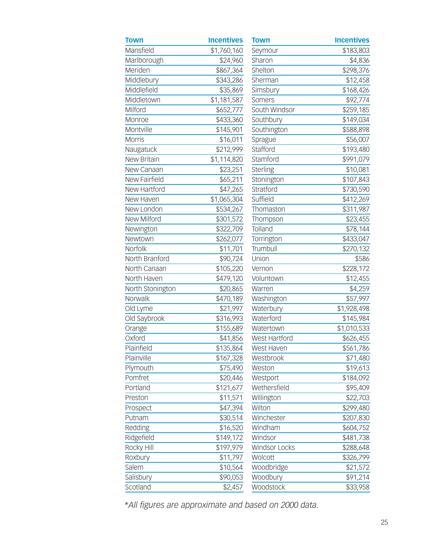| <b>Town</b>      | <b>Incentives</b> | <b>Town</b>   | <b>Incentives</b> |
|------------------|-------------------|---------------|-------------------|
| Mansfield        | \$1,760,160       | Seymour       | \$183,803         |
| Marlborough      | \$24,960          | Sharon        | \$4,836           |
| Meriden          | \$867,364         | Shelton       | \$298,376         |
| Middlebury       | \$343,286         | Sherman       | \$12,458          |
| Middlefield      | \$35,869          | Simsbury      | \$168,426         |
| Middletown       | \$1,181,587       | Somers        | \$92,774          |
| Milford          | \$652,777         | South Windsor | \$259,185         |
| Monroe           | \$433,360         | Southbury     | \$149,034         |
| Montville        | \$145,901         | Southington   | \$588,898         |
| Morris           | \$16,011          | Sprague       | \$56,007          |
| Naugatuck        | \$212,999         | Stafford      | \$193,480         |
| New Britain      | \$1,114,820       | Stamford      | \$991,079         |
| New Canaan       | \$23,251          | Sterling      | \$10,081          |
| New Fairfield    | \$65,211          | Stonington    | \$107,843         |
| New Hartford     | \$47,265          | Stratford     | \$730,590         |
| New Haven        | \$1,065,304       | Suffield      | \$412,269         |
| New London       | \$534,267         | Thomaston     | \$311,987         |
| New Milford      | \$301,572         | Thompson      | \$23,455          |
| Newington        | \$322,709         | Tolland       | \$78,144          |
| Newtown          | \$262,077         | Torrington    | \$433,047         |
| Norfolk          | \$11,701          | Trumbull      | \$270,132         |
| North Branford   | \$90,724          | Union         | \$586             |
| North Canaan     | \$105,220         | Vernon        | \$228,172         |
| North Haven      | \$479,120         | Voluntown     | \$12,455          |
| North Stonington | \$20,865          | Warren        | \$4,259           |
| Norwalk          | \$470,189         | Washington    | \$57,997          |
| Old Lyme         | \$21,997          | Waterbury     | \$1,928,498       |
| Old Saybrook     | \$316,993         | Waterford     | \$145,984         |
| Orange           | \$155,689         | Watertown     | \$1,010,533       |
| Oxford           | \$41,856          | West Hartford | \$626,455         |
| Plainfield       | \$135,864         | West Haven    | \$561,786         |
| Plainville       | \$167,328         | Westbrook     | \$71,480          |
| Plymouth         | \$75,490          | Weston        | \$19,613          |
| Pomfret          | \$20,446          | Westport      | \$184,092         |
| Portland         | \$121,677         | Wethersfield  | \$95,409          |
| Preston          | \$11,571          | Willington    | \$22,703          |
| Prospect         | \$47,394          | Wilton        | \$299,480         |
| Putnam           | \$30,514          | Winchester    | \$207,830         |
| Redding          | \$16,520          | Windham       | \$604,752         |
| Ridgefield       | \$149,172         | Windsor       | \$481,738         |
| Rocky Hill       | \$197,979         | Windsor Locks | \$288,648         |
| Roxbury          | \$11,797          | Wolcott       | \$326,799         |
| Salem            | \$10,564          | Woodbridge    | \$21,572          |
| Salisbury        | \$90,053          | Woodbury      | \$91,214          |
| Scotland         | \$2,457           | Woodstock     | \$33,958          |

*\*All figures are approximate and based on 2000 data.*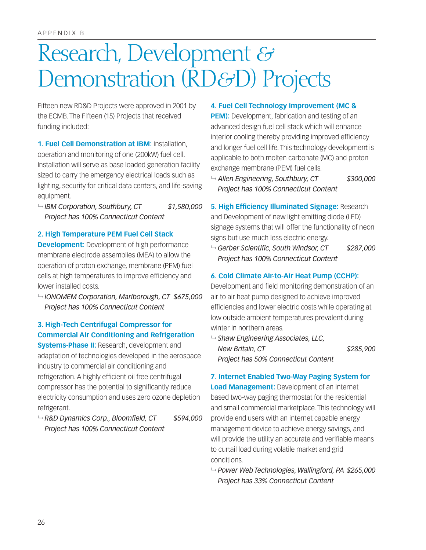# Research, Development & Demonstration (RD&D) Projects

Fifteen new RD&D Projects were approved in 2001 by the ECMB. The Fifteen (15) Projects that received funding included:

**1. Fuel Cell Demonstration at IBM:** Installation, operation and monitoring of one (200kW) fuel cell. Installation will serve as base loaded generation facility sized to carry the emergency electrical loads such as lighting, security for critical data centers, and life-saving equipment.

- *IBM Corporation, Southbury, CT \$1,580,000 Project has 100% Connecticut Content*

### **2. High Temperature PEM Fuel Cell Stack**

**Development:** Development of high performance membrane electrode assemblies (MEA) to allow the operation of proton exchange, membrane (PEM) fuel cells at high temperatures to improve efficiency and lower installed costs.

- *IONOMEM Corporation, Marlborough, CT \$675,000 Project has 100% Connecticut Content*

### **3. High-Tech Centrifugal Compressor for Commercial Air Conditioning and Refrigeration**

**Systems-Phase II:** Research, development and adaptation of technologies developed in the aerospace industry to commercial air conditioning and refrigeration. A highly efficient oil free centrifugal compressor has the potential to significantly reduce electricity consumption and uses zero ozone depletion refrigerant.

- *R&D Dynamics Corp., Bloomfield, CT \$594,000 Project has 100% Connecticut Content*

**4. Fuel Cell Technology Improvement (MC & PEM):** Development, fabrication and testing of an advanced design fuel cell stack which will enhance interior cooling thereby providing improved efficiency and longer fuel cell life. This technology development is applicable to both molten carbonate (MC) and proton exchange membrane (PEM) fuel cells.

- *Allen Engineering, Southbury, CT \$300,000 Project has 100% Connecticut Content*

**5. High Efficiency Illuminated Signage:** Research and Development of new light emitting diode (LED) signage systems that will offer the functionality of neon signs but use much less electric energy.

- *Gerber Scientific, South Windsor, CT \$287,000 Project has 100% Connecticut Content*

#### **6. Cold Climate Air-to-Air Heat Pump (CCHP):**

Development and field monitoring demonstration of an air to air heat pump designed to achieve improved efficiencies and lower electric costs while operating at low outside ambient temperatures prevalent during winter in northern areas.

- *Shaw Engineering Associates, LLC, New Britain, CT \$285,900 Project has 50% Connecticut Content*

## **7. Internet Enabled Two-Way Paging System for**

**Load Management:** Development of an internet based two-way paging thermostat for the residential and small commercial marketplace. This technology will provide end users with an internet capable energy management device to achieve energy savings, and will provide the utility an accurate and verifiable means to curtail load during volatile market and grid conditions.

- *Power Web Technologies, Wallingford, PA \$265,000 Project has 33% Connecticut Content*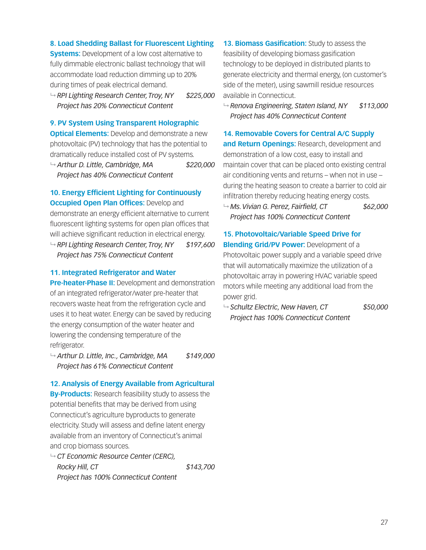#### **8. Load Shedding Ballast for Fluorescent Lighting**

**Systems:** Development of a low cost alternative to fully dimmable electronic ballast technology that will accommodate load reduction dimming up to 20% during times of peak electrical demand.

- *RPI Lighting Research Center,Troy, NY \$225,000 Project has 20% Connecticut Content*

#### **9. PV System Using Transparent Holographic**

**Optical Elements:** Develop and demonstrate a new photovoltaic (PV) technology that has the potential to dramatically reduce installed cost of PV systems. - *Arthur D. Little, Cambridge, MA \$220,000 Project has 40% Connecticut Content*

### **10. Energy Efficient Lighting for Continuously Occupied Open Plan Offices:** Develop and

demonstrate an energy efficient alternative to current fluorescent lighting systems for open plan offices that will achieve significant reduction in electrical energy. - *RPI Lighting Research Center,Troy, NY \$197,600 Project has 75% Connecticut Content*

#### **11. Integrated Refrigerator and Water**

**Pre-heater-Phase II:** Development and demonstration of an integrated refrigerator/water pre-heater that recovers waste heat from the refrigeration cycle and uses it to heat water. Energy can be saved by reducing the energy consumption of the water heater and lowering the condensing temperature of the refrigerator.

- *Arthur D. Little, Inc., Cambridge, MA \$149,000 Project has 61% Connecticut Content*

#### **12. Analysis of Energy Available from Agricultural**

**By-Products:** Research feasibility study to assess the potential benefits that may be derived from using Connecticut's agriculture byproducts to generate electricity. Study will assess and define latent energy available from an inventory of Connecticut's animal and crop biomass sources.

- *CT Economic Resource Center (CERC), Rocky Hill, CT \$143,700 Project has 100% Connecticut Content*

**13. Biomass Gasification:** Study to assess the feasibility of developing biomass gasification technology to be deployed in distributed plants to generate electricity and thermal energy, (on customer's side of the meter), using sawmill residue resources available in Connecticut.

- *Renova Engineering, Staten Island, NY \$113,000 Project has 40% Connecticut Content*

**14. Removable Covers for Central A/C Supply and Return Openings:** Research, development and demonstration of a low cost, easy to install and maintain cover that can be placed onto existing central air conditioning vents and returns – when not in use – during the heating season to create a barrier to cold air infiltration thereby reducing heating energy costs.

- *Ms.Vivian G. Perez, Fairfield, CT \$62,000 Project has 100% Connecticut Content*

**15. Photovoltaic/Variable Speed Drive for Blending Grid/PV Power:** Development of a Photovoltaic power supply and a variable speed drive that will automatically maximize the utilization of a photovoltaic array in powering HVAC variable speed motors while meeting any additional load from the power grid.

- *Schultz Electric, New Haven, CT \$50,000 Project has 100% Connecticut Content*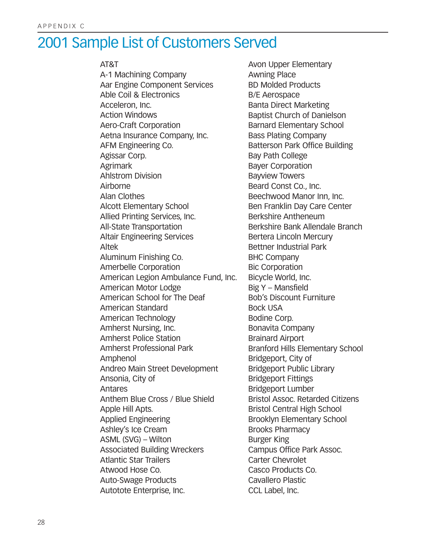# 2001 Sample List of Customers Served

### AT&T

A-1 Machining Company Aar Engine Component Services Able Coil & Electronics Acceleron, Inc. Action Windows Aero-Craft Corporation Aetna Insurance Company, Inc. AFM Engineering Co. Agissar Corp. Agrimark Ahlstrom Division Airborne Alan Clothes Alcott Elementary School Allied Printing Services, Inc. All-State Transportation Altair Engineering Services Altek Aluminum Finishing Co. Amerbelle Corporation American Legion Ambulance Fund, Inc. American Motor Lodge American School for The Deaf American Standard American Technology Amherst Nursing, Inc. Amherst Police Station Amherst Professional Park Amphenol Andreo Main Street Development Ansonia, City of Antares Anthem Blue Cross / Blue Shield Apple Hill Apts. Applied Engineering Ashley's Ice Cream ASML (SVG) – Wilton Associated Building Wreckers Atlantic Star Trailers Atwood Hose Co. Auto-Swage Products Autotote Enterprise, Inc.

Avon Upper Elementary Awning Place BD Molded Products B/E Aerospace Banta Direct Marketing Baptist Church of Danielson Barnard Elementary School Bass Plating Company Batterson Park Office Building Bay Path College Bayer Corporation Bayview Towers Beard Const Co., Inc. Beechwood Manor Inn, Inc. Ben Franklin Day Care Center Berkshire Antheneum Berkshire Bank Allendale Branch Bertera Lincoln Mercury Bettner Industrial Park BHC Company Bic Corporation Bicycle World, Inc. Big Y – Mansfield Bob's Discount Furniture Bock USA Bodine Corp. Bonavita Company Brainard Airport Branford Hills Elementary School Bridgeport, City of Bridgeport Public Library Bridgeport Fittings Bridgeport Lumber Bristol Assoc. Retarded Citizens Bristol Central High School Brooklyn Elementary School Brooks Pharmacy Burger King Campus Office Park Assoc. Carter Chevrolet Casco Products Co. Cavallero Plastic CCL Label, Inc.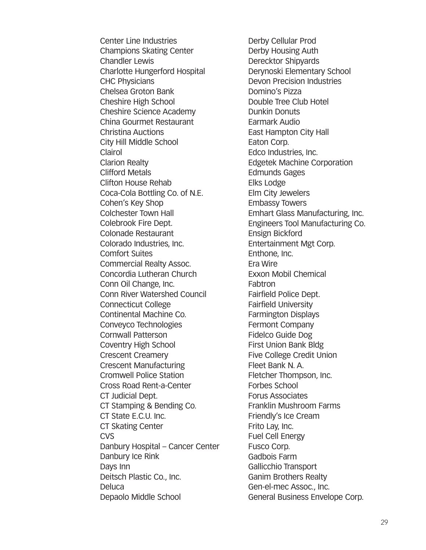Center Line Industries Champions Skating Center Chandler Lewis Charlotte Hungerford Hospital CHC Physicians Chelsea Groton Bank Cheshire High School Cheshire Science Academy China Gourmet Restaurant Christina Auctions City Hill Middle School Clairol Clarion Realty Clifford Metals Clifton House Rehab Coca-Cola Bottling Co. of N.E. Cohen's Key Shop Colchester Town Hall Colebrook Fire Dept. Colonade Restaurant Colorado Industries, Inc. Comfort Suites Commercial Realty Assoc. Concordia Lutheran Church Conn Oil Change, Inc. Conn River Watershed Council Connecticut College Continental Machine Co. Conveyco Technologies Cornwall Patterson Coventry High School Crescent Creamery Crescent Manufacturing Cromwell Police Station Cross Road Rent-a-Center CT Judicial Dept. CT Stamping & Bending Co. CT State E.C.U. Inc. CT Skating Center CVS Danbury Hospital – Cancer Center Danbury Ice Rink Days Inn Deitsch Plastic Co., Inc. Deluca Depaolo Middle School

Derby Cellular Prod Derby Housing Auth Derecktor Shipyards Derynoski Elementary School Devon Precision Industries Domino's Pizza Double Tree Club Hotel Dunkin Donuts Earmark Audio East Hampton City Hall Eaton Corp. Edco Industries, Inc. Edgetek Machine Corporation Edmunds Gages Elks Lodge Elm City Jewelers Embassy Towers Emhart Glass Manufacturing, Inc. Engineers Tool Manufacturing Co. Ensign Bickford Entertainment Mgt Corp. Enthone, Inc. Era Wire Exxon Mobil Chemical Fabtron Fairfield Police Dept. Fairfield University Farmington Displays Fermont Company Fidelco Guide Dog First Union Bank Bldg Five College Credit Union Fleet Bank N. A. Fletcher Thompson, Inc. Forbes School Forus Associates Franklin Mushroom Farms Friendly's Ice Cream Frito Lay, Inc. Fuel Cell Energy Fusco Corp. Gadbois Farm Gallicchio Transport Ganim Brothers Realty Gen-el-mec Assoc., Inc. General Business Envelope Corp.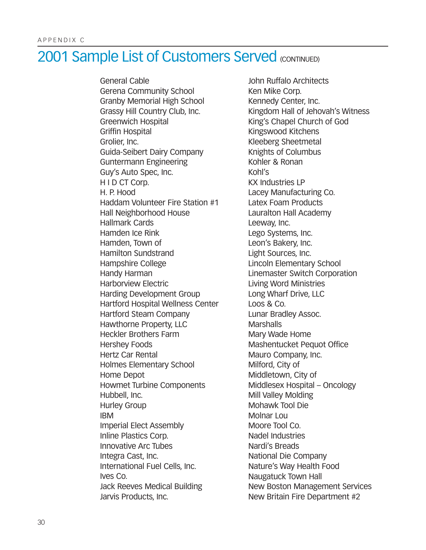# 2001 Sample List of Customers Served (CONTINUED)

General Cable Gerena Community School Granby Memorial High School Grassy Hill Country Club, Inc. Greenwich Hospital Griffin Hospital Grolier, Inc. Guida-Seibert Dairy Company Guntermann Engineering Guy's Auto Spec, Inc. H I D CT Corp. H. P. Hood Haddam Volunteer Fire Station #1 Hall Neighborhood House Hallmark Cards Hamden Ice Rink Hamden, Town of Hamilton Sundstrand Hampshire College Handy Harman Harborview Electric Harding Development Group Hartford Hospital Wellness Center Hartford Steam Company Hawthorne Property, LLC Heckler Brothers Farm Hershey Foods Hertz Car Rental Holmes Elementary School Home Depot Howmet Turbine Components Hubbell, Inc. Hurley Group IBM Imperial Elect Assembly Inline Plastics Corp. Innovative Arc Tubes Integra Cast, Inc. International Fuel Cells, Inc. Ives Co. Jack Reeves Medical Building Jarvis Products, Inc.

John Ruffalo Architects Ken Mike Corp. Kennedy Center, Inc. Kingdom Hall of Jehovah's Witness King's Chapel Church of God Kingswood Kitchens Kleeberg Sheetmetal Knights of Columbus Kohler & Ronan Kohl's KX Industries LP Lacey Manufacturing Co. Latex Foam Products Lauralton Hall Academy Leeway, Inc. Lego Systems, Inc. Leon's Bakery, Inc. Light Sources, Inc. Lincoln Elementary School Linemaster Switch Corporation Living Word Ministries Long Wharf Drive, LLC Loos & Co. Lunar Bradley Assoc. **Marshalls** Mary Wade Home Mashentucket Pequot Office Mauro Company, Inc. Milford, City of Middletown, City of Middlesex Hospital – Oncology Mill Valley Molding Mohawk Tool Die Molnar Lou Moore Tool Co. Nadel Industries Nardi's Breads National Die Company Nature's Way Health Food Naugatuck Town Hall New Boston Management Services New Britain Fire Department #2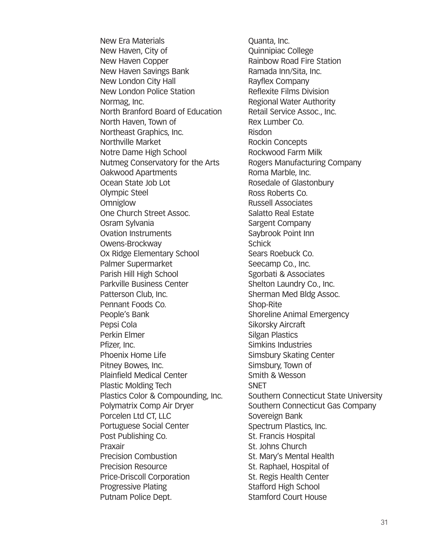New Era Materials New Haven, City of New Haven Copper New Haven Savings Bank New London City Hall New London Police Station Normag, Inc. North Branford Board of Education North Haven, Town of Northeast Graphics, Inc. Northville Market Notre Dame High School Nutmeg Conservatory for the Arts Oakwood Apartments Ocean State Job Lot Olympic Steel **Omniglow** One Church Street Assoc. Osram Sylvania Ovation Instruments Owens-Brockway Ox Ridge Elementary School Palmer Supermarket Parish Hill High School Parkville Business Center Patterson Club, Inc. Pennant Foods Co. People's Bank Pepsi Cola Perkin Elmer Pfizer, Inc. Phoenix Home Life Pitney Bowes, Inc. Plainfield Medical Center Plastic Molding Tech Plastics Color & Compounding, Inc. Polymatrix Comp Air Dryer Porcelen Ltd CT, LLC Portuguese Social Center Post Publishing Co. Praxair Precision Combustion Precision Resource Price-Driscoll Corporation Progressive Plating Putnam Police Dept.

Quanta, Inc. Quinnipiac College Rainbow Road Fire Station Ramada Inn/Sita, Inc. Rayflex Company Reflexite Films Division Regional Water Authority Retail Service Assoc., Inc. Rex Lumber Co. Risdon Rockin Concepts Rockwood Farm Milk Rogers Manufacturing Company Roma Marble, Inc. Rosedale of Glastonbury Ross Roberts Co. Russell Associates Salatto Real Estate Sargent Company Saybrook Point Inn **Schick** Sears Roebuck Co. Seecamp Co., Inc. Sgorbati & Associates Shelton Laundry Co., Inc. Sherman Med Bldg Assoc. Shop-Rite Shoreline Animal Emergency Sikorsky Aircraft Silgan Plastics Simkins Industries Simsbury Skating Center Simsbury, Town of Smith & Wesson **SNET** Southern Connecticut State University Southern Connecticut Gas Company Sovereign Bank Spectrum Plastics, Inc. St. Francis Hospital St. Johns Church St. Mary's Mental Health St. Raphael, Hospital of St. Regis Health Center Stafford High School Stamford Court House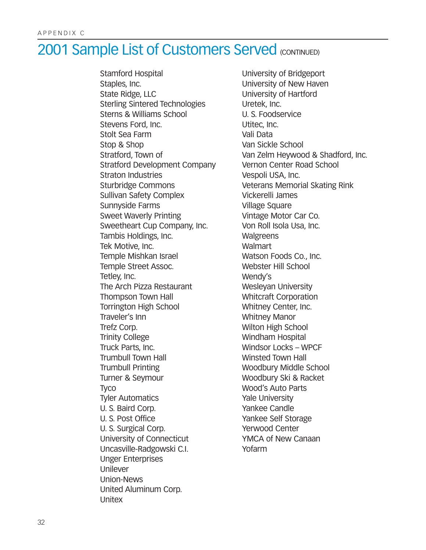# 2001 Sample List of Customers Served (CONTINUED)

Stamford Hospital Staples, Inc. State Ridge, LLC Sterling Sintered Technologies Sterns & Williams School Stevens Ford, Inc. Stolt Sea Farm Stop & Shop Stratford, Town of Stratford Development Company Straton Industries Sturbridge Commons Sullivan Safety Complex Sunnyside Farms Sweet Waverly Printing Sweetheart Cup Company, Inc. Tambis Holdings, Inc. Tek Motive, Inc. Temple Mishkan Israel Temple Street Assoc. Tetley, Inc. The Arch Pizza Restaurant Thompson Town Hall Torrington High School Traveler's Inn Trefz Corp. Trinity College Truck Parts, Inc. Trumbull Town Hall Trumbull Printing Turner & Seymour Tyco Tyler Automatics U. S. Baird Corp. U. S. Post Office U. S. Surgical Corp. University of Connecticut Uncasville-Radgowski C.I. Unger Enterprises Unilever Union-News United Aluminum Corp. **Unitex** 

University of Bridgeport University of New Haven University of Hartford Uretek, Inc. U. S. Foodservice Utitec, Inc. Vali Data Van Sickle School Van Zelm Heywood & Shadford, Inc. Vernon Center Road School Vespoli USA, Inc. Veterans Memorial Skating Rink Vickerelli James Village Square Vintage Motor Car Co. Von Roll Isola Usa, Inc. Walgreens Walmart Watson Foods Co., Inc. Webster Hill School Wendy's Wesleyan University Whitcraft Corporation Whitney Center, Inc. Whitney Manor Wilton High School Windham Hospital Windsor Locks – WPCF Winsted Town Hall Woodbury Middle School Woodbury Ski & Racket Wood's Auto Parts Yale University Yankee Candle Yankee Self Storage Yerwood Center YMCA of New Canaan Yofarm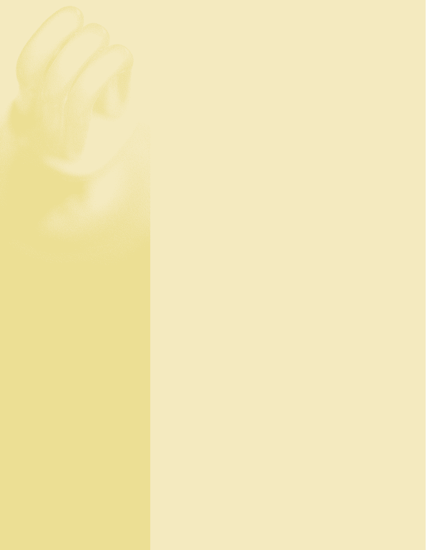